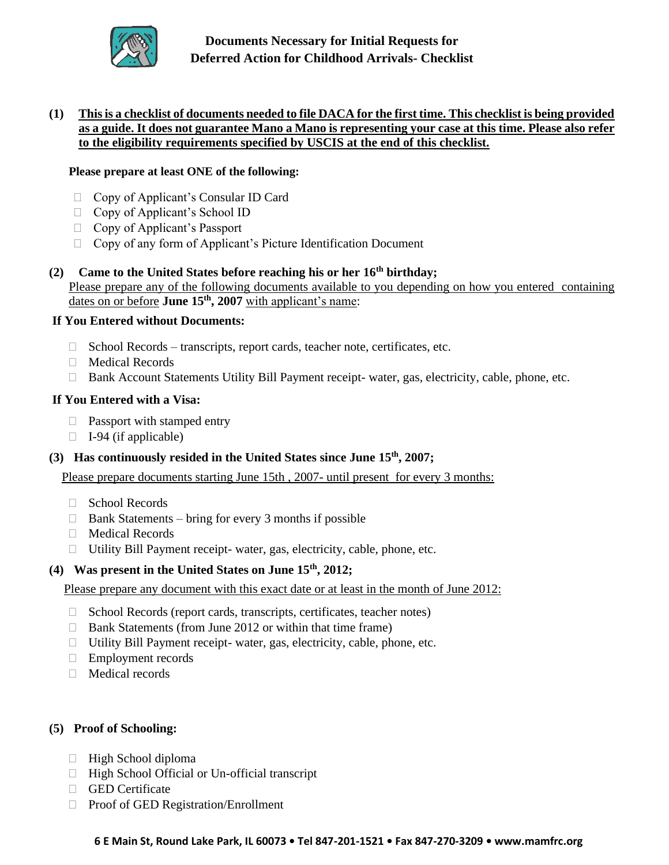

**Documents Necessary for Initial Requests for Deferred Action for Childhood Arrivals- Checklist**

## **(1) This is a checklist of documents needed to file DACA for the first time. This checklist is being provided as a guide. It does not guarantee Mano a Mano is representing your case at this time. Please also refer to the eligibility requirements specified by USCIS at the end of this checklist.**

### **Please prepare at least ONE of the following:**

- □ Copy of Applicant's Consular ID Card
- □ Copy of Applicant's School ID
- □ Copy of Applicant's Passport
- □ Copy of any form of Applicant's Picture Identification Document

### **(2) Came to the United States before reaching his or her 16th birthday;**  Please prepare any of the following documents available to you depending on how you entered containing dates on or before **June 15th, 2007** with applicant's name:

### **If You Entered without Documents:**

- $\Box$  School Records transcripts, report cards, teacher note, certificates, etc.
- Medical Records
- □ Bank Account Statements Utility Bill Payment receipt- water, gas, electricity, cable, phone, etc.

#### **If You Entered with a Visa:**

- $\Box$  Passport with stamped entry
- $\Box$  I-94 (if applicable)
- **(3) Has continuously resided in the United States since June 15th, 2007;**

Please prepare documents starting June 15th , 2007- until present for every 3 months:

- □ School Records
- $\Box$  Bank Statements bring for every 3 months if possible
- Medical Records
- Utility Bill Payment receipt- water, gas, electricity, cable, phone, etc.

#### **(4) Was present in the United States on June 15th, 2012;**

Please prepare any document with this exact date or at least in the month of June 2012:

- $\Box$  School Records (report cards, transcripts, certificates, teacher notes)
- $\Box$  Bank Statements (from June 2012 or within that time frame)
- □ Utility Bill Payment receipt- water, gas, electricity, cable, phone, etc.
- □ Employment records
- □ Medical records

### **(5) Proof of Schooling:**

- $\Box$  High School diploma
- $\Box$  High School Official or Un-official transcript
- GED Certificate
- □ Proof of GED Registration/Enrollment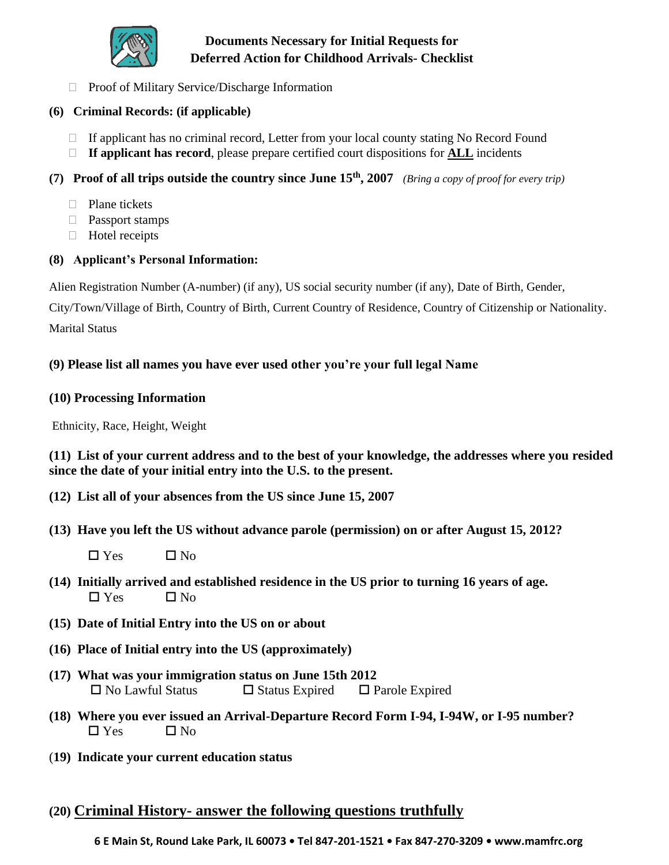

# **Documents Necessary for Initial Requests for Deferred Action for Childhood Arrivals- Checklist**

 $\Box$  Proof of Military Service/Discharge Information

## **(6) Criminal Records: (if applicable)**

- $\Box$  If applicant has no criminal record, Letter from your local county stating No Record Found
- **If applicant has record**, please prepare certified court dispositions for **ALL** incidents

## **(7) Proof of all trips outside the country since June 15th, 2007** *(Bring a copy of proof for every trip)*

- □ Plane tickets
- **Passport stamps**
- □ Hotel receipts

## **(8) Applicant's Personal Information:**

Alien Registration Number (A-number) (if any), US social security number (if any), Date of Birth, Gender,

City/Town/Village of Birth, Country of Birth, Current Country of Residence, Country of Citizenship or Nationality. Marital Status

## **(9) Please list all names you have ever used other you're your full legal Name**

### **(10) Processing Information**

Ethnicity, Race, Height, Weight

**(11) List of your current address and to the best of your knowledge, the addresses where you resided since the date of your initial entry into the U.S. to the present.**

- **(12) List all of your absences from the US since June 15, 2007**
- **(13) Have you left the US without advance parole (permission) on or after August 15, 2012?**
	- $\Box$  Yes  $\Box$  No
- **(14) Initially arrived and established residence in the US prior to turning 16 years of age.**   $\Box$  Yes  $\Box$  No
- **(15) Date of Initial Entry into the US on or about**
- **(16) Place of Initial entry into the US (approximately)**
- **(17) What was your immigration status on June 15th 2012**  $\square$  No Lawful Status  $\square$  Status Expired  $\square$  Parole Expired
- **(18) Where you ever issued an Arrival-Departure Record Form I-94, I-94W, or I-95 number?**   $\Box$  Yes  $\Box$  No
- (**19) Indicate your current education status**
- **(20) Criminal History- answer the following questions truthfully**

 **6 E Main St, Round Lake Park, IL 60073 • Tel 847-201-1521 • Fax 847-270-3209 • www.mamfrc.org**